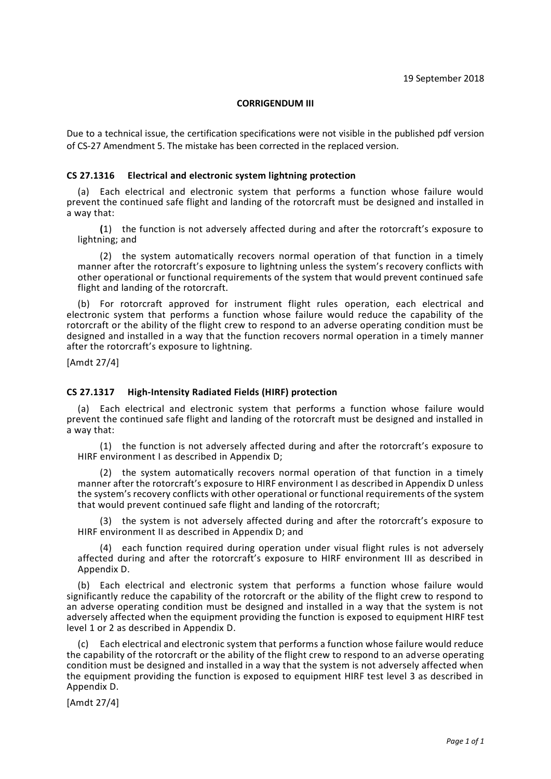### **CORRIGENDUM III**

Due to a technical issue, the certification specifications were not visible in the published pdf version of CS-27 Amendment 5. The mistake has been corrected in the replaced version.

## **CS 27.1316 Electrical and electronic system lightning protection**

(a) Each electrical and electronic system that performs a function whose failure would prevent the continued safe flight and landing of the rotorcraft must be designed and installed in a way that:

**(**1) the function is not adversely affected during and after the rotorcraft's exposure to lightning; and

(2) the system automatically recovers normal operation of that function in a timely manner after the rotorcraft's exposure to lightning unless the system's recovery conflicts with other operational or functional requirements of the system that would prevent continued safe flight and landing of the rotorcraft.

(b) For rotorcraft approved for instrument flight rules operation, each electrical and electronic system that performs a function whose failure would reduce the capability of the rotorcraft or the ability of the flight crew to respond to an adverse operating condition must be designed and installed in a way that the function recovers normal operation in a timely manner after the rotorcraft's exposure to lightning.

[Amdt 27/4]

### **CS 27.1317 High-Intensity Radiated Fields (HIRF) protection**

(a) Each electrical and electronic system that performs a function whose failure would prevent the continued safe flight and landing of the rotorcraft must be designed and installed in a way that:

(1) the function is not adversely affected during and after the rotorcraft's exposure to HIRF environment I as described in Appendix D;

(2) the system automatically recovers normal operation of that function in a timely manner after the rotorcraft's exposure to HIRF environment I as described in Appendix D unless the system's recovery conflicts with other operational or functional requirements of the system that would prevent continued safe flight and landing of the rotorcraft;

(3) the system is not adversely affected during and after the rotorcraft's exposure to HIRF environment II as described in Appendix D; and

(4) each function required during operation under visual flight rules is not adversely affected during and after the rotorcraft's exposure to HIRF environment III as described in Appendix D.

(b) Each electrical and electronic system that performs a function whose failure would significantly reduce the capability of the rotorcraft or the ability of the flight crew to respond to an adverse operating condition must be designed and installed in a way that the system is not adversely affected when the equipment providing the function is exposed to equipment HIRF test level 1 or 2 as described in Appendix D.

(c) Each electrical and electronic system that performs a function whose failure would reduce the capability of the rotorcraft or the ability of the flight crew to respond to an adverse operating condition must be designed and installed in a way that the system is not adversely affected when the equipment providing the function is exposed to equipment HIRF test level 3 as described in Appendix D.

[Amdt 27/4]